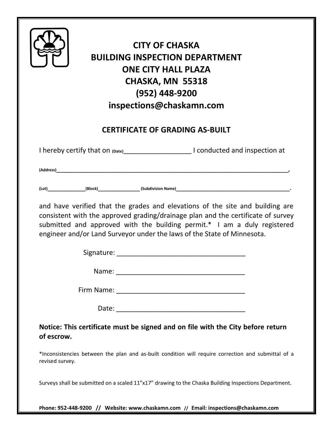|                                                                                                       | <b>BUILDING INSPECTION DEPARTMENT</b>                                   | <b>CITY OF CHASKA</b><br><b>ONE CITY HALL PLAZA</b><br>CHASKA, MN 55318<br>(952) 448-9200<br>inspections@chaskamn.com |                                                                                                                                                                                                                                               |
|-------------------------------------------------------------------------------------------------------|-------------------------------------------------------------------------|-----------------------------------------------------------------------------------------------------------------------|-----------------------------------------------------------------------------------------------------------------------------------------------------------------------------------------------------------------------------------------------|
|                                                                                                       |                                                                         | <b>CERTIFICATE OF GRADING AS-BUILT</b>                                                                                |                                                                                                                                                                                                                                               |
|                                                                                                       |                                                                         |                                                                                                                       | I hereby certify that on (Date)____________________________I conducted and inspection at                                                                                                                                                      |
|                                                                                                       |                                                                         |                                                                                                                       |                                                                                                                                                                                                                                               |
|                                                                                                       |                                                                         |                                                                                                                       |                                                                                                                                                                                                                                               |
|                                                                                                       | engineer and/or Land Surveyor under the laws of the State of Minnesota. |                                                                                                                       | and have verified that the grades and elevations of the site and building are<br>consistent with the approved grading/drainage plan and the certificate of survey<br>submitted and approved with the building permit.* I am a duly registered |
|                                                                                                       |                                                                         |                                                                                                                       |                                                                                                                                                                                                                                               |
|                                                                                                       |                                                                         |                                                                                                                       |                                                                                                                                                                                                                                               |
|                                                                                                       |                                                                         |                                                                                                                       |                                                                                                                                                                                                                                               |
|                                                                                                       |                                                                         |                                                                                                                       |                                                                                                                                                                                                                                               |
| of escrow.                                                                                            |                                                                         |                                                                                                                       | Notice: This certificate must be signed and on file with the City before return                                                                                                                                                               |
| revised survey.                                                                                       |                                                                         |                                                                                                                       | *Inconsistencies between the plan and as-built condition will require correction and submittal of a                                                                                                                                           |
| Surveys shall be submitted on a scaled 11"x17" drawing to the Chaska Building Inspections Department. |                                                                         |                                                                                                                       |                                                                                                                                                                                                                                               |

**Phone: 952-448-9200 // Website: www.chaskamn.com // Email: inspections@chaskamn.com**